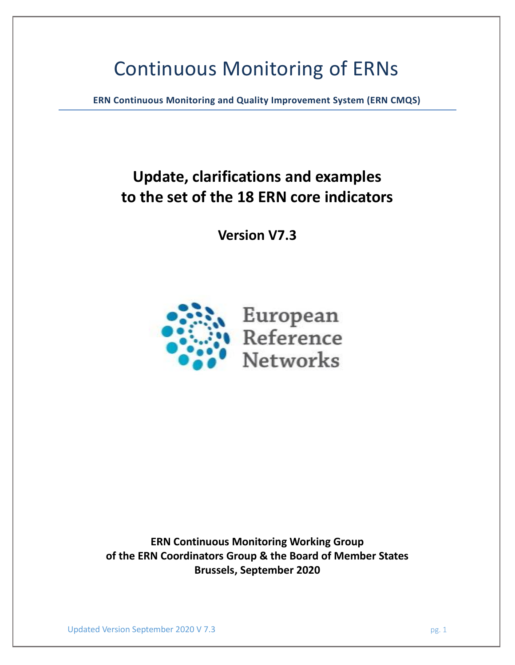# Continuous Monitoring of ERNs

**ERN Continuous Monitoring and Quality Improvement System (ERN CMQS)**

## **Update, clarifications and examples to the set of the 18 ERN core indicators**

**Version V7.3**



**ERN Continuous Monitoring Working Group of the ERN Coordinators Group & the Board of Member States Brussels, September 2020**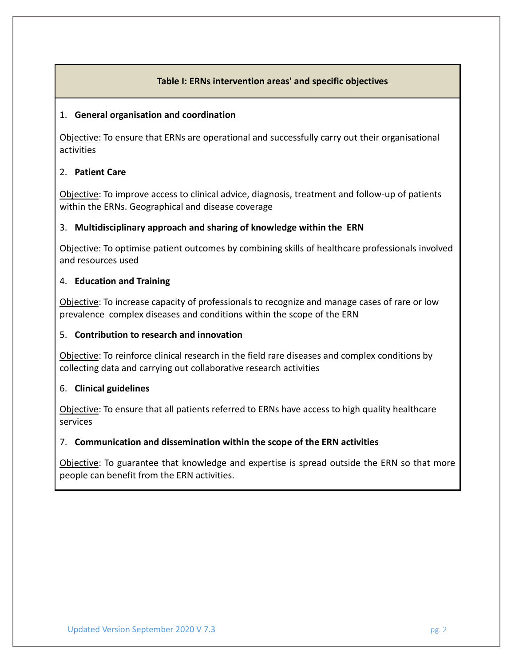### **Table I: ERNs intervention areas' and specific objectives**

### 1. **General organisation and coordination**

Objective: To ensure that ERNs are operational and successfully carry out their organisational activities

### 2. **Patient Care**

Objective: To improve access to clinical advice, diagnosis, treatment and follow-up of patients within the ERNs. Geographical and disease coverage

### 3. **Multidisciplinary approach and sharing of knowledge within the ERN**

Objective: To optimise patient outcomes by combining skills of healthcare professionals involved and resources used

### 4. **Education and Training**

Objective: To increase capacity of professionals to recognize and manage cases of rare or low prevalence complex diseases and conditions within the scope of the ERN

### 5. **Contribution to research and innovation**

Objective: To reinforce clinical research in the field rare diseases and complex conditions by collecting data and carrying out collaborative research activities

### 6. **Clinical guidelines**

Objective: To ensure that all patients referred to ERNs have access to high quality healthcare services

### 7. **Communication and dissemination within the scope of the ERN activities**

Objective: To guarantee that knowledge and expertise is spread outside the ERN so that more people can benefit from the ERN activities.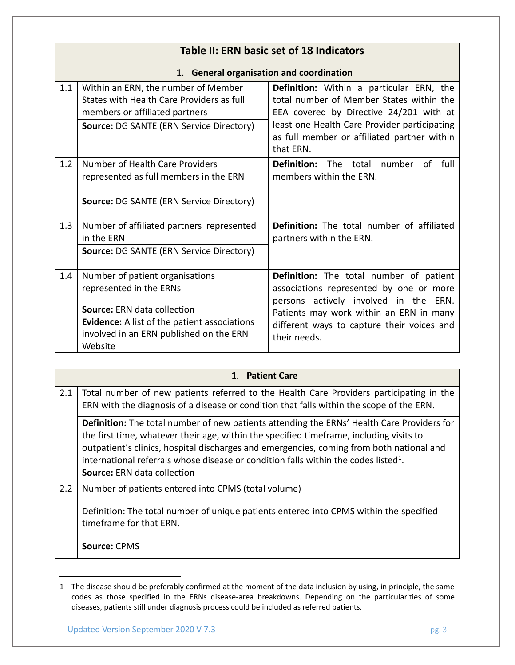|     | Table II: ERN basic set of 18 Indicators                                                                                                                              |                                                                                                                                                                                                                                             |  |  |
|-----|-----------------------------------------------------------------------------------------------------------------------------------------------------------------------|---------------------------------------------------------------------------------------------------------------------------------------------------------------------------------------------------------------------------------------------|--|--|
|     | 1. General organisation and coordination                                                                                                                              |                                                                                                                                                                                                                                             |  |  |
| 1.1 | Within an ERN, the number of Member<br>States with Health Care Providers as full<br>members or affiliated partners<br><b>Source: DG SANTE (ERN Service Directory)</b> | Definition: Within a particular ERN, the<br>total number of Member States within the<br>EEA covered by Directive 24/201 with at<br>least one Health Care Provider participating<br>as full member or affiliated partner within<br>that ERN. |  |  |
| 1.2 | Number of Health Care Providers<br>represented as full members in the ERN<br><b>Source: DG SANTE (ERN Service Directory)</b>                                          | <b>Definition:</b> The total number<br>of full<br>members within the ERN.                                                                                                                                                                   |  |  |
| 1.3 | Number of affiliated partners represented<br>in the ERN<br>Source: DG SANTE (ERN Service Directory)                                                                   | Definition: The total number of affiliated<br>partners within the ERN.                                                                                                                                                                      |  |  |
| 1.4 | Number of patient organisations<br>represented in the ERNs                                                                                                            | <b>Definition:</b> The total number of patient<br>associations represented by one or more<br>persons actively involved in the ERN.                                                                                                          |  |  |
|     | <b>Source: ERN data collection</b><br><b>Evidence:</b> A list of the patient associations<br>involved in an ERN published on the ERN<br>Website                       | Patients may work within an ERN in many<br>different ways to capture their voices and<br>their needs.                                                                                                                                       |  |  |

|     | 1. Patient Care                                                                                                                                                                                                                                                                                                                                                                      |  |
|-----|--------------------------------------------------------------------------------------------------------------------------------------------------------------------------------------------------------------------------------------------------------------------------------------------------------------------------------------------------------------------------------------|--|
| 2.1 | Total number of new patients referred to the Health Care Providers participating in the<br>ERN with the diagnosis of a disease or condition that falls within the scope of the ERN.                                                                                                                                                                                                  |  |
|     | Definition: The total number of new patients attending the ERNs' Health Care Providers for<br>the first time, whatever their age, within the specified timeframe, including visits to<br>outpatient's clinics, hospital discharges and emergencies, coming from both national and<br>international referrals whose disease or condition falls within the codes listed <sup>1</sup> . |  |
|     | <b>Source: ERN data collection</b>                                                                                                                                                                                                                                                                                                                                                   |  |
| 2.2 | Number of patients entered into CPMS (total volume)                                                                                                                                                                                                                                                                                                                                  |  |
|     | Definition: The total number of unique patients entered into CPMS within the specified<br>timeframe for that ERN.                                                                                                                                                                                                                                                                    |  |
|     | <b>Source: CPMS</b>                                                                                                                                                                                                                                                                                                                                                                  |  |

<sup>1</sup> The disease should be preferably confirmed at the moment of the data inclusion by using, in principle, the same codes as those specified in the ERNs disease-area breakdowns. Depending on the particularities of some diseases, patients still under diagnosis process could be included as referred patients.

 $\overline{a}$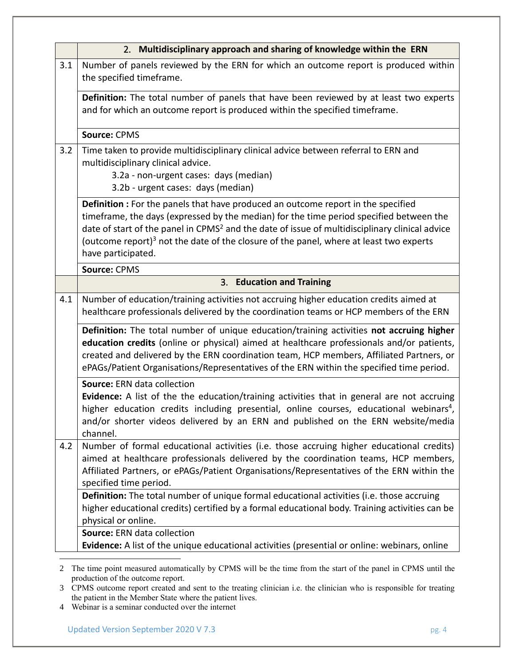|     | 2. Multidisciplinary approach and sharing of knowledge within the ERN                                                                                                                                                                                                                                                                                                                                                         |  |
|-----|-------------------------------------------------------------------------------------------------------------------------------------------------------------------------------------------------------------------------------------------------------------------------------------------------------------------------------------------------------------------------------------------------------------------------------|--|
| 3.1 | Number of panels reviewed by the ERN for which an outcome report is produced within<br>the specified timeframe.                                                                                                                                                                                                                                                                                                               |  |
|     | Definition: The total number of panels that have been reviewed by at least two experts<br>and for which an outcome report is produced within the specified timeframe.                                                                                                                                                                                                                                                         |  |
|     | Source: CPMS                                                                                                                                                                                                                                                                                                                                                                                                                  |  |
| 3.2 | Time taken to provide multidisciplinary clinical advice between referral to ERN and<br>multidisciplinary clinical advice.<br>3.2a - non-urgent cases: days (median)<br>3.2b - urgent cases: days (median)                                                                                                                                                                                                                     |  |
|     | <b>Definition</b> : For the panels that have produced an outcome report in the specified<br>timeframe, the days (expressed by the median) for the time period specified between the<br>date of start of the panel in CPMS <sup>2</sup> and the date of issue of multidisciplinary clinical advice<br>(outcome report) <sup>3</sup> not the date of the closure of the panel, where at least two experts<br>have participated. |  |
|     | Source: CPMS                                                                                                                                                                                                                                                                                                                                                                                                                  |  |
|     | 3. Education and Training                                                                                                                                                                                                                                                                                                                                                                                                     |  |
| 4.1 | Number of education/training activities not accruing higher education credits aimed at<br>healthcare professionals delivered by the coordination teams or HCP members of the ERN                                                                                                                                                                                                                                              |  |
|     | Definition: The total number of unique education/training activities not accruing higher<br>education credits (online or physical) aimed at healthcare professionals and/or patients,<br>created and delivered by the ERN coordination team, HCP members, Affiliated Partners, or<br>ePAGs/Patient Organisations/Representatives of the ERN within the specified time period.                                                 |  |
|     | Source: ERN data collection<br>Evidence: A list of the the education/training activities that in general are not accruing<br>higher education credits including presential, online courses, educational webinars <sup>4</sup> ,<br>and/or shorter videos delivered by an ERN and published on the ERN website/media<br>channel.                                                                                               |  |
| 4.2 | Number of formal educational activities (i.e. those accruing higher educational credits)<br>aimed at healthcare professionals delivered by the coordination teams, HCP members,<br>Affiliated Partners, or ePAGs/Patient Organisations/Representatives of the ERN within the<br>specified time period.                                                                                                                        |  |
|     | Definition: The total number of unique formal educational activities (i.e. those accruing<br>higher educational credits) certified by a formal educational body. Training activities can be<br>physical or online.                                                                                                                                                                                                            |  |
|     | Source: ERN data collection<br>Evidence: A list of the unique educational activities (presential or online: webinars, online                                                                                                                                                                                                                                                                                                  |  |

<sup>2</sup> The time point measured automatically by CPMS will be the time from the start of the panel in CPMS until the production of the outcome report.

<sup>3</sup> CPMS outcome report created and sent to the treating clinician i.e. the clinician who is responsible for treating the patient in the Member State where the patient lives.

<sup>4</sup> Webinar is a seminar conducted over the internet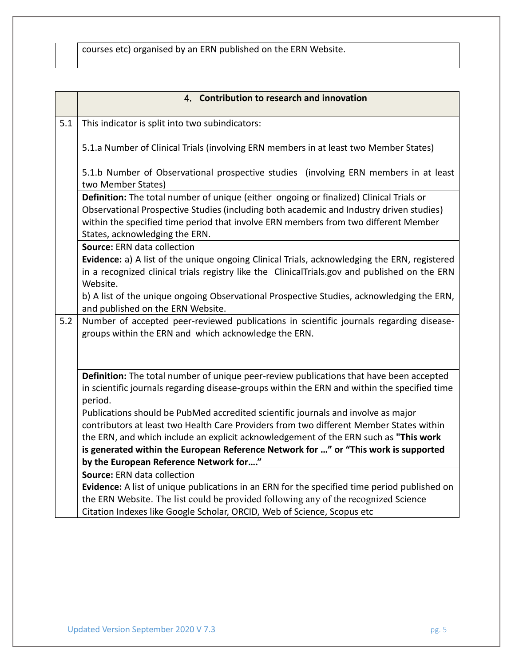courses etc) organised by an ERN published on the ERN Website.

|     | 4. Contribution to research and innovation                                                                                                                                                                                                                                                                                                             |  |
|-----|--------------------------------------------------------------------------------------------------------------------------------------------------------------------------------------------------------------------------------------------------------------------------------------------------------------------------------------------------------|--|
| 5.1 | This indicator is split into two subindicators:                                                                                                                                                                                                                                                                                                        |  |
|     | 5.1.a Number of Clinical Trials (involving ERN members in at least two Member States)                                                                                                                                                                                                                                                                  |  |
|     | 5.1.b Number of Observational prospective studies (involving ERN members in at least<br>two Member States)                                                                                                                                                                                                                                             |  |
|     | Definition: The total number of unique (either ongoing or finalized) Clinical Trials or<br>Observational Prospective Studies (including both academic and Industry driven studies)<br>within the specified time period that involve ERN members from two different Member<br>States, acknowledging the ERN.                                            |  |
|     | Source: ERN data collection                                                                                                                                                                                                                                                                                                                            |  |
|     | Evidence: a) A list of the unique ongoing Clinical Trials, acknowledging the ERN, registered<br>in a recognized clinical trials registry like the ClinicalTrials.gov and published on the ERN<br>Website.                                                                                                                                              |  |
|     | b) A list of the unique ongoing Observational Prospective Studies, acknowledging the ERN,<br>and published on the ERN Website.                                                                                                                                                                                                                         |  |
| 5.2 | Number of accepted peer-reviewed publications in scientific journals regarding disease-<br>groups within the ERN and which acknowledge the ERN.                                                                                                                                                                                                        |  |
|     | Definition: The total number of unique peer-review publications that have been accepted<br>in scientific journals regarding disease-groups within the ERN and within the specified time                                                                                                                                                                |  |
|     | period.                                                                                                                                                                                                                                                                                                                                                |  |
|     | Publications should be PubMed accredited scientific journals and involve as major                                                                                                                                                                                                                                                                      |  |
|     | contributors at least two Health Care Providers from two different Member States within                                                                                                                                                                                                                                                                |  |
|     | is generated within the European Reference Network for " or "This work is supported                                                                                                                                                                                                                                                                    |  |
|     | by the European Reference Network for"                                                                                                                                                                                                                                                                                                                 |  |
|     | Source: ERN data collection                                                                                                                                                                                                                                                                                                                            |  |
|     |                                                                                                                                                                                                                                                                                                                                                        |  |
|     |                                                                                                                                                                                                                                                                                                                                                        |  |
|     | the ERN, and which include an explicit acknowledgement of the ERN such as "This work<br>Evidence: A list of unique publications in an ERN for the specified time period published on<br>the ERN Website. The list could be provided following any of the recognized Science<br>Citation Indexes like Google Scholar, ORCID, Web of Science, Scopus etc |  |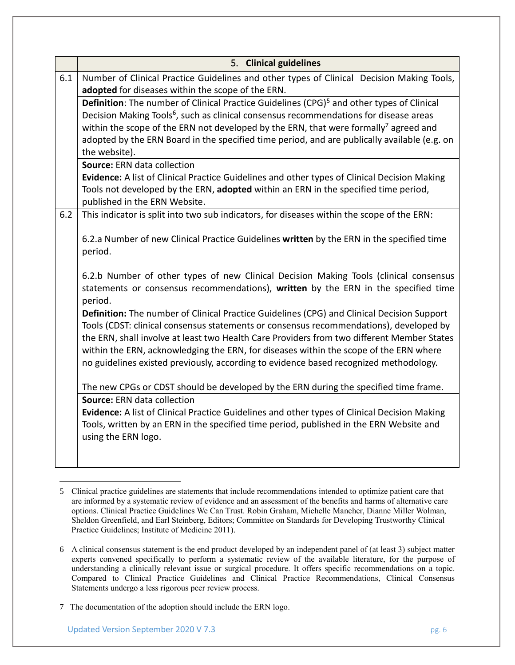|     | 5. Clinical guidelines                                                                                                                                                                                                                                                                                                                                                                                                                                               |  |  |
|-----|----------------------------------------------------------------------------------------------------------------------------------------------------------------------------------------------------------------------------------------------------------------------------------------------------------------------------------------------------------------------------------------------------------------------------------------------------------------------|--|--|
| 6.1 | Number of Clinical Practice Guidelines and other types of Clinical Decision Making Tools,<br>adopted for diseases within the scope of the ERN.                                                                                                                                                                                                                                                                                                                       |  |  |
|     | Definition: The number of Clinical Practice Guidelines (CPG) <sup>5</sup> and other types of Clinical<br>Decision Making Tools <sup>6</sup> , such as clinical consensus recommendations for disease areas<br>within the scope of the ERN not developed by the ERN, that were formally <sup>7</sup> agreed and<br>adopted by the ERN Board in the specified time period, and are publically available (e.g. on                                                       |  |  |
|     | the website).<br>Source: ERN data collection                                                                                                                                                                                                                                                                                                                                                                                                                         |  |  |
|     | Evidence: A list of Clinical Practice Guidelines and other types of Clinical Decision Making<br>Tools not developed by the ERN, adopted within an ERN in the specified time period,<br>published in the ERN Website.                                                                                                                                                                                                                                                 |  |  |
| 6.2 | This indicator is split into two sub indicators, for diseases within the scope of the ERN:                                                                                                                                                                                                                                                                                                                                                                           |  |  |
|     | 6.2.a Number of new Clinical Practice Guidelines written by the ERN in the specified time<br>period.                                                                                                                                                                                                                                                                                                                                                                 |  |  |
|     | 6.2.b Number of other types of new Clinical Decision Making Tools (clinical consensus<br>statements or consensus recommendations), written by the ERN in the specified time<br>period.                                                                                                                                                                                                                                                                               |  |  |
|     | Definition: The number of Clinical Practice Guidelines (CPG) and Clinical Decision Support<br>Tools (CDST: clinical consensus statements or consensus recommendations), developed by<br>the ERN, shall involve at least two Health Care Providers from two different Member States<br>within the ERN, acknowledging the ERN, for diseases within the scope of the ERN where<br>no guidelines existed previously, according to evidence based recognized methodology. |  |  |
|     | The new CPGs or CDST should be developed by the ERN during the specified time frame.                                                                                                                                                                                                                                                                                                                                                                                 |  |  |
|     | Source: ERN data collection<br>Evidence: A list of Clinical Practice Guidelines and other types of Clinical Decision Making<br>Tools, written by an ERN in the specified time period, published in the ERN Website and<br>using the ERN logo.                                                                                                                                                                                                                        |  |  |
|     |                                                                                                                                                                                                                                                                                                                                                                                                                                                                      |  |  |

 $\overline{a}$ 5 Clinical practice guidelines are statements that include recommendations intended to optimize patient care that are informed by a systematic review of evidence and an assessment of the benefits and harms of alternative care options. Clinical Practice Guidelines We Can Trust. Robin Graham, Michelle Mancher, Dianne Miller Wolman, Sheldon Greenfield, and Earl Steinberg, Editors; Committee on Standards for Developing Trustworthy Clinical Practice Guidelines; Institute of Medicine 2011).

<sup>6</sup> A clinical consensus statement is the end product developed by an independent panel of (at least 3) subject matter experts convened specifically to perform a systematic review of the available literature, for the purpose of understanding a clinically relevant issue or surgical procedure. It offers specific recommendations on a topic. Compared to Clinical Practice Guidelines and Clinical Practice Recommendations, Clinical Consensus Statements undergo a less rigorous peer review process.

<sup>7</sup> The documentation of the adoption should include the ERN logo.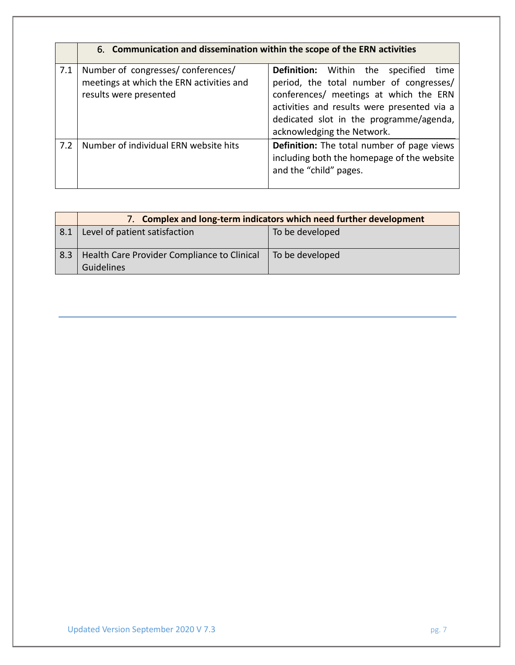|     | 6. Communication and dissemination within the scope of the ERN activities                               |                                                                                                                                                                                                                                                                 |
|-----|---------------------------------------------------------------------------------------------------------|-----------------------------------------------------------------------------------------------------------------------------------------------------------------------------------------------------------------------------------------------------------------|
| 7.1 | Number of congresses/conferences/<br>meetings at which the ERN activities and<br>results were presented | <b>Definition:</b> Within the<br>specified<br>time<br>period, the total number of congresses/<br>conferences/ meetings at which the ERN<br>activities and results were presented via a<br>dedicated slot in the programme/agenda,<br>acknowledging the Network. |
| 7.2 | Number of individual ERN website hits                                                                   | Definition: The total number of page views<br>including both the homepage of the website<br>and the "child" pages.                                                                                                                                              |

|     | 7. Complex and long-term indicators which need further development |                 |
|-----|--------------------------------------------------------------------|-----------------|
| 8.1 | Level of patient satisfaction                                      | To be developed |
| 8.3 | Health Care Provider Compliance to Clinical<br><b>Guidelines</b>   | To be developed |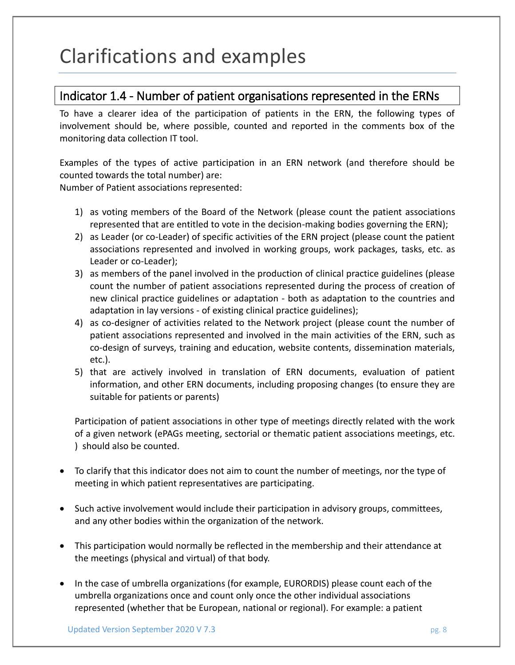# Clarifications and examples

### Indicator 1.4 - Number of patient organisations represented in the ERNs

To have a clearer idea of the participation of patients in the ERN, the following types of involvement should be, where possible, counted and reported in the comments box of the monitoring data collection IT tool.

Examples of the types of active participation in an ERN network (and therefore should be counted towards the total number) are:

Number of Patient associations represented:

- 1) as voting members of the Board of the Network (please count the patient associations represented that are entitled to vote in the decision-making bodies governing the ERN);
- 2) as Leader (or co-Leader) of specific activities of the ERN project (please count the patient associations represented and involved in working groups, work packages, tasks, etc. as Leader or co-Leader);
- 3) as members of the panel involved in the production of clinical practice guidelines (please count the number of patient associations represented during the process of creation of new clinical practice guidelines or adaptation - both as adaptation to the countries and adaptation in lay versions - of existing clinical practice guidelines);
- 4) as co-designer of activities related to the Network project (please count the number of patient associations represented and involved in the main activities of the ERN, such as co-design of surveys, training and education, website contents, dissemination materials, etc.).
- 5) that are actively involved in translation of ERN documents, evaluation of patient information, and other ERN documents, including proposing changes (to ensure they are suitable for patients or parents)

Participation of patient associations in other type of meetings directly related with the work of a given network (ePAGs meeting, sectorial or thematic patient associations meetings, etc. ) should also be counted.

- To clarify that this indicator does not aim to count the number of meetings, nor the type of meeting in which patient representatives are participating.
- Such active involvement would include their participation in advisory groups, committees, and any other bodies within the organization of the network.
- This participation would normally be reflected in the membership and their attendance at the meetings (physical and virtual) of that body.
- In the case of umbrella organizations (for example, EURORDIS) please count each of the umbrella organizations once and count only once the other individual associations represented (whether that be European, national or regional). For example: a patient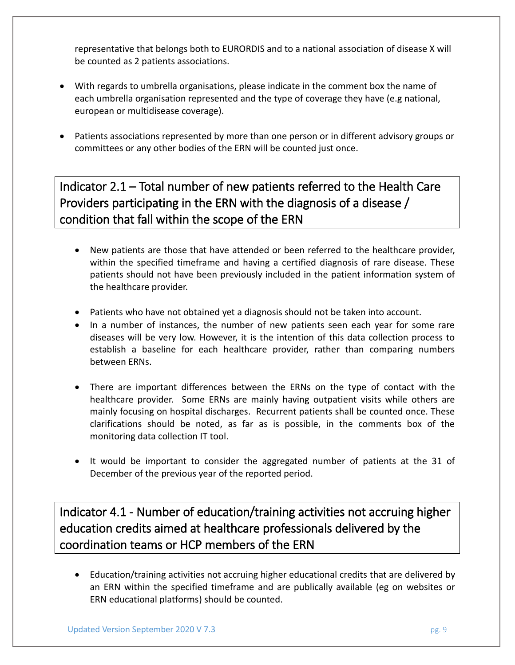representative that belongs both to EURORDIS and to a national association of disease X will be counted as 2 patients associations.

- With regards to umbrella organisations, please indicate in the comment box the name of each umbrella organisation represented and the type of coverage they have (e.g national, european or multidisease coverage).
- Patients associations represented by more than one person or in different advisory groups or committees or any other bodies of the ERN will be counted just once.

## Indicator 2.1 – Total number of new patients referred to the Health Care Providers participating in the ERN with the diagnosis of a disease / condition that fall within the scope of the ERN

- New patients are those that have attended or been referred to the healthcare provider, within the specified timeframe and having a certified diagnosis of rare disease. These patients should not have been previously included in the patient information system of the healthcare provider.
- Patients who have not obtained yet a diagnosis should not be taken into account.
- In a number of instances, the number of new patients seen each year for some rare diseases will be very low. However, it is the intention of this data collection process to establish a baseline for each healthcare provider, rather than comparing numbers between ERNs.
- There are important differences between the ERNs on the type of contact with the healthcare provider. Some ERNs are mainly having outpatient visits while others are mainly focusing on hospital discharges. Recurrent patients shall be counted once. These clarifications should be noted, as far as is possible, in the comments box of the monitoring data collection IT tool.
- It would be important to consider the aggregated number of patients at the 31 of December of the previous year of the reported period.

Indicator 4.1 - Number of education/training activities not accruing higher education credits aimed at healthcare professionals delivered by the coordination teams or HCP members of the ERN

 Education/training activities not accruing higher educational credits that are delivered by an ERN within the specified timeframe and are publically available (eg on websites or ERN educational platforms) should be counted.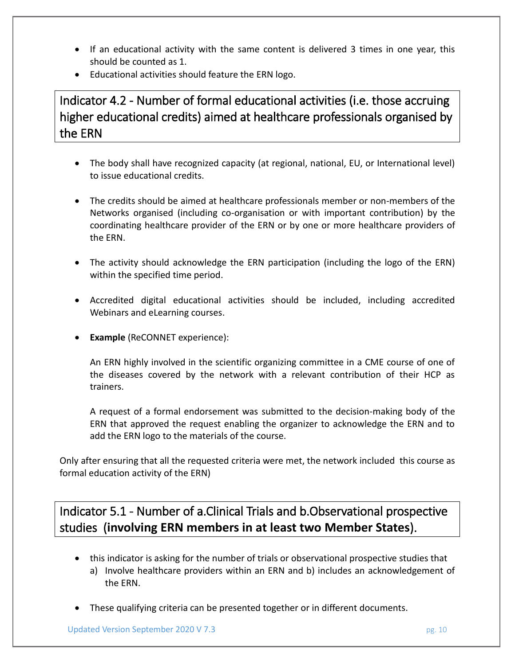- If an educational activity with the same content is delivered 3 times in one year, this should be counted as 1.
- Educational activities should feature the ERN logo.

Indicator 4.2 - Number of formal educational activities (i.e. those accruing higher educational credits) aimed at healthcare professionals organised by the ERN

- The body shall have recognized capacity (at regional, national, EU, or International level) to issue educational credits.
- The credits should be aimed at healthcare professionals member or non-members of the Networks organised (including co-organisation or with important contribution) by the coordinating healthcare provider of the ERN or by one or more healthcare providers of the ERN.
- The activity should acknowledge the ERN participation (including the logo of the ERN) within the specified time period.
- Accredited digital educational activities should be included, including accredited Webinars and eLearning courses.
- **Example** (ReCONNET experience):

An ERN highly involved in the scientific organizing committee in a CME course of one of the diseases covered by the network with a relevant contribution of their HCP as trainers.

A request of a formal endorsement was submitted to the decision-making body of the ERN that approved the request enabling the organizer to acknowledge the ERN and to add the ERN logo to the materials of the course.

Only after ensuring that all the requested criteria were met, the network included this course as formal education activity of the ERN)

Indicator 5.1 - Number of a.Clinical Trials and b.Observational prospective studies (**involving ERN members in at least two Member States**).

- this indicator is asking for the number of trials or observational prospective studies that
	- a) Involve healthcare providers within an ERN and b) includes an acknowledgement of the ERN.
- These qualifying criteria can be presented together or in different documents.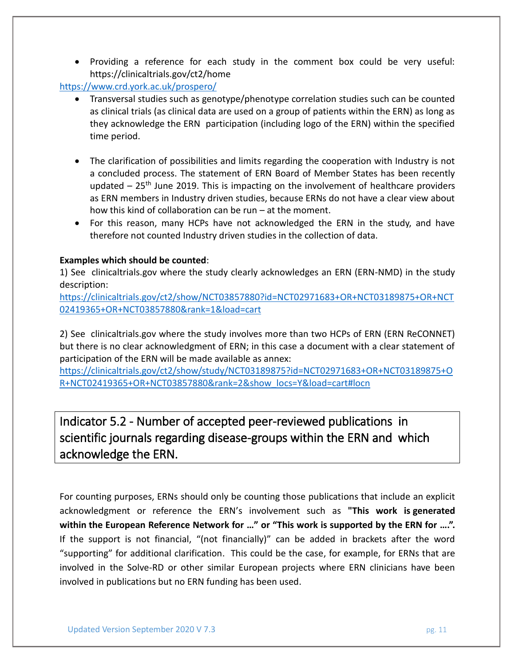Providing a reference for each study in the comment box could be very useful: https://clinicaltrials.gov/ct2/home

### <https://www.crd.york.ac.uk/prospero/>

- Transversal studies such as genotype/phenotype correlation studies such can be counted as clinical trials (as clinical data are used on a group of patients within the ERN) as long as they acknowledge the ERN participation (including logo of the ERN) within the specified time period.
- The clarification of possibilities and limits regarding the cooperation with Industry is not a concluded process. The statement of ERN Board of Member States has been recently updated  $-25$ <sup>th</sup> June 2019. This is impacting on the involvement of healthcare providers as ERN members in Industry driven studies, because ERNs do not have a clear view about how this kind of collaboration can be run – at the moment.
- For this reason, many HCPs have not acknowledged the ERN in the study, and have therefore not counted Industry driven studies in the collection of data.

### **Examples which should be counted**:

1) See clinicaltrials.gov where the study clearly acknowledges an ERN (ERN-NMD) in the study description:

[https://clinicaltrials.gov/ct2/show/NCT03857880?id=NCT02971683+OR+NCT03189875+OR+NCT](https://clinicaltrials.gov/ct2/show/NCT03857880?id=NCT02971683+OR+NCT03189875+OR+NCT02419365+OR+NCT03857880&rank=1&load=cart) [02419365+OR+NCT03857880&rank=1&load=cart](https://clinicaltrials.gov/ct2/show/NCT03857880?id=NCT02971683+OR+NCT03189875+OR+NCT02419365+OR+NCT03857880&rank=1&load=cart)

2) See clinicaltrials.gov where the study involves more than two HCPs of ERN (ERN ReCONNET) but there is no clear acknowledgment of ERN; in this case a document with a clear statement of participation of the ERN will be made available as annex:

[https://clinicaltrials.gov/ct2/show/study/NCT03189875?id=NCT02971683+OR+NCT03189875+O](https://clinicaltrials.gov/ct2/show/study/NCT03189875?id=NCT02971683+OR+NCT03189875+OR+NCT02419365+OR+NCT03857880&rank=2&show_locs=Y&load=cart#locn) [R+NCT02419365+OR+NCT03857880&rank=2&show\\_locs=Y&load=cart#locn](https://clinicaltrials.gov/ct2/show/study/NCT03189875?id=NCT02971683+OR+NCT03189875+OR+NCT02419365+OR+NCT03857880&rank=2&show_locs=Y&load=cart#locn)

## Indicator 5.2 - Number of accepted peer-reviewed publications in scientific journals regarding disease-groups within the ERN and which acknowledge the ERN.

For counting purposes, ERNs should only be counting those publications that include an explicit acknowledgment or reference the ERN's involvement such as **"This work is generated within the European Reference Network for …" or "This work is supported by the ERN for ….".**  If the support is not financial, "(not financially)" can be added in brackets after the word "supporting" for additional clarification. This could be the case, for example, for ERNs that are involved in the Solve-RD or other similar European projects where ERN clinicians have been involved in publications but no ERN funding has been used.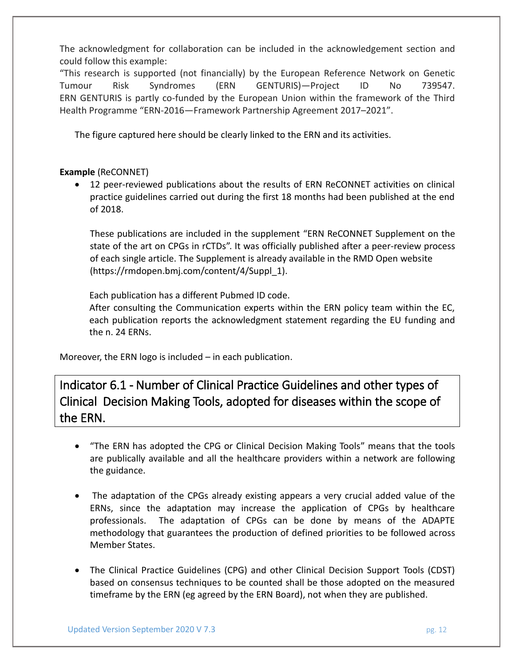The acknowledgment for collaboration can be included in the acknowledgement section and could follow this example:

"This research is supported (not financially) by the European Reference Network on Genetic Tumour Risk Syndromes (ERN GENTURIS)—Project ID No 739547. ERN GENTURIS is partly co-funded by the European Union within the framework of the Third Health Programme "ERN-2016—Framework Partnership Agreement 2017–2021".

The figure captured here should be clearly linked to the ERN and its activities.

### **Example** (ReCONNET)

 12 peer-reviewed publications about the results of ERN ReCONNET activities on clinical practice guidelines carried out during the first 18 months had been published at the end of 2018.

These publications are included in the supplement "ERN ReCONNET Supplement on the state of the art on CPGs in rCTDs". It was officially published after a peer-review process of each single article. The Supplement is already available in the RMD Open website (https://rmdopen.bmj.com/content/4/Suppl\_1).

Each publication has a different Pubmed ID code.

After consulting the Communication experts within the ERN policy team within the EC, each publication reports the acknowledgment statement regarding the EU funding and the n. 24 ERNs.

Moreover, the ERN logo is included – in each publication.

Indicator 6.1 - Number of Clinical Practice Guidelines and other types of Clinical Decision Making Tools, adopted for diseases within the scope of the ERN.

- "The ERN has adopted the CPG or Clinical Decision Making Tools" means that the tools are publically available and all the healthcare providers within a network are following the guidance.
- The adaptation of the CPGs already existing appears a very crucial added value of the ERNs, since the adaptation may increase the application of CPGs by healthcare professionals. The adaptation of CPGs can be done by means of the ADAPTE methodology that guarantees the production of defined priorities to be followed across Member States.
- The Clinical Practice Guidelines (CPG) and other Clinical Decision Support Tools (CDST) based on consensus techniques to be counted shall be those adopted on the measured timeframe by the ERN (eg agreed by the ERN Board), not when they are published.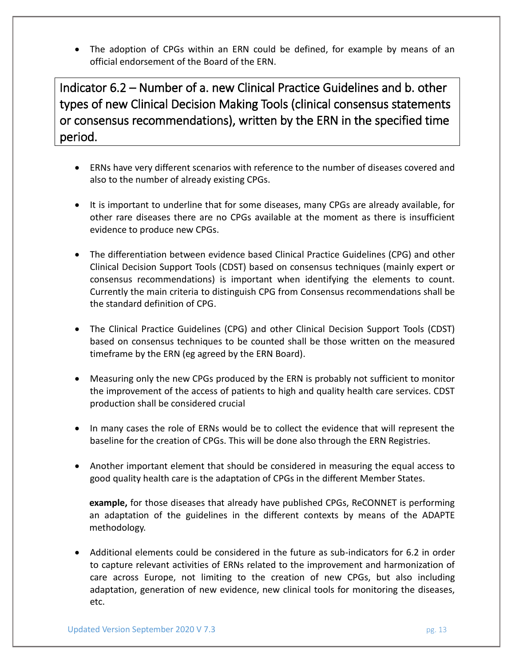The adoption of CPGs within an ERN could be defined, for example by means of an official endorsement of the Board of the ERN.

Indicator 6.2 – Number of a. new Clinical Practice Guidelines and b. other types of new Clinical Decision Making Tools (clinical consensus statements or consensus recommendations), written by the ERN in the specified time period.

- ERNs have very different scenarios with reference to the number of diseases covered and also to the number of already existing CPGs.
- It is important to underline that for some diseases, many CPGs are already available, for other rare diseases there are no CPGs available at the moment as there is insufficient evidence to produce new CPGs.
- The differentiation between evidence based Clinical Practice Guidelines (CPG) and other Clinical Decision Support Tools (CDST) based on consensus techniques (mainly expert or consensus recommendations) is important when identifying the elements to count. Currently the main criteria to distinguish CPG from Consensus recommendations shall be the standard definition of CPG.
- The Clinical Practice Guidelines (CPG) and other Clinical Decision Support Tools (CDST) based on consensus techniques to be counted shall be those written on the measured timeframe by the ERN (eg agreed by the ERN Board).
- Measuring only the new CPGs produced by the ERN is probably not sufficient to monitor the improvement of the access of patients to high and quality health care services. CDST production shall be considered crucial
- In many cases the role of ERNs would be to collect the evidence that will represent the baseline for the creation of CPGs. This will be done also through the ERN Registries.
- Another important element that should be considered in measuring the equal access to good quality health care is the adaptation of CPGs in the different Member States.

**example,** for those diseases that already have published CPGs, ReCONNET is performing an adaptation of the guidelines in the different contexts by means of the ADAPTE methodology.

 Additional elements could be considered in the future as sub-indicators for 6.2 in order to capture relevant activities of ERNs related to the improvement and harmonization of care across Europe, not limiting to the creation of new CPGs, but also including adaptation, generation of new evidence, new clinical tools for monitoring the diseases, etc.